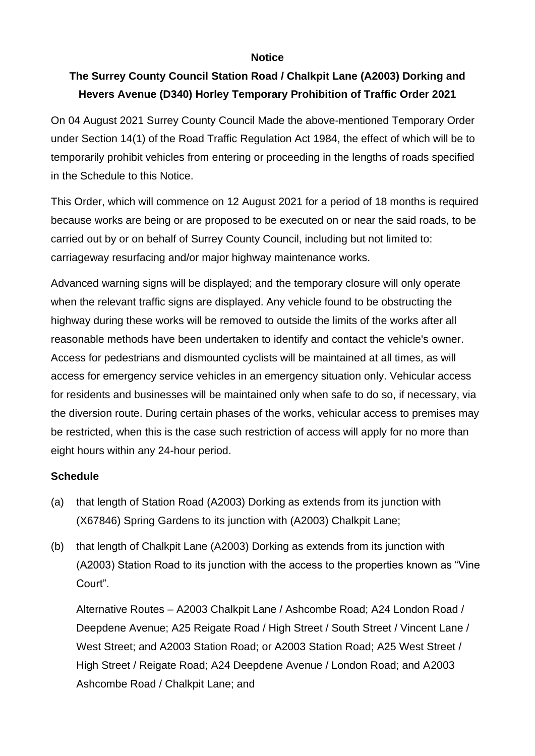## **Notice**

## **The Surrey County Council Station Road / Chalkpit Lane (A2003) Dorking and Hevers Avenue (D340) Horley Temporary Prohibition of Traffic Order 2021**

On 04 August 2021 Surrey County Council Made the above-mentioned Temporary Order under Section 14(1) of the Road Traffic Regulation Act 1984, the effect of which will be to temporarily prohibit vehicles from entering or proceeding in the lengths of roads specified in the Schedule to this Notice.

This Order, which will commence on 12 August 2021 for a period of 18 months is required because works are being or are proposed to be executed on or near the said roads, to be carried out by or on behalf of Surrey County Council, including but not limited to: carriageway resurfacing and/or major highway maintenance works.

Advanced warning signs will be displayed; and the temporary closure will only operate when the relevant traffic signs are displayed. Any vehicle found to be obstructing the highway during these works will be removed to outside the limits of the works after all reasonable methods have been undertaken to identify and contact the vehicle's owner. Access for pedestrians and dismounted cyclists will be maintained at all times, as will access for emergency service vehicles in an emergency situation only. Vehicular access for residents and businesses will be maintained only when safe to do so, if necessary, via the diversion route. During certain phases of the works, vehicular access to premises may be restricted, when this is the case such restriction of access will apply for no more than eight hours within any 24-hour period.

## **Schedule**

- (a) that length of Station Road (A2003) Dorking as extends from its junction with (X67846) Spring Gardens to its junction with (A2003) Chalkpit Lane;
- (b) that length of Chalkpit Lane (A2003) Dorking as extends from its junction with (A2003) Station Road to its junction with the access to the properties known as "Vine Court".

Alternative Routes – A2003 Chalkpit Lane / Ashcombe Road; A24 London Road / Deepdene Avenue; A25 Reigate Road / High Street / South Street / Vincent Lane / West Street; and A2003 Station Road; or A2003 Station Road; A25 West Street / High Street / Reigate Road; A24 Deepdene Avenue / London Road; and A2003 Ashcombe Road / Chalkpit Lane; and